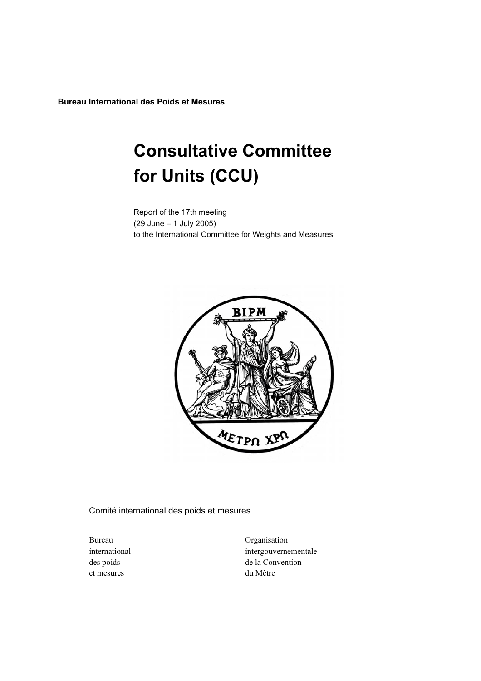Bureau International des Poids et Mesures

# Consultative Committee for Units (CCU)

Report of the 17th meeting (29 June – 1 July 2005) to the International Committee for Weights and Measures



Comité international des poids et mesures

et mesures du Mètre

Bureau Organisation international intergouvernementale des poids de la Convention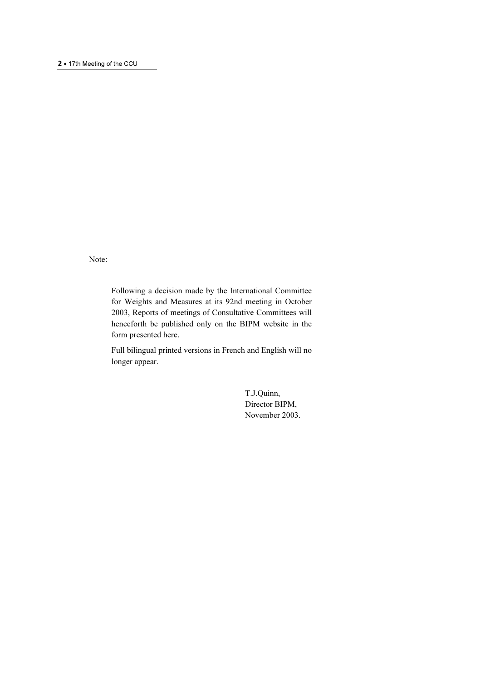Note:

Following a decision made by the International Committee for Weights and Measures at its 92nd meeting in October 2003, Reports of meetings of Consultative Committees will henceforth be published only on the BIPM website in the form presented here.

Full bilingual printed versions in French and English will no longer appear.

> T.J.Quinn, Director BIPM, November 2003.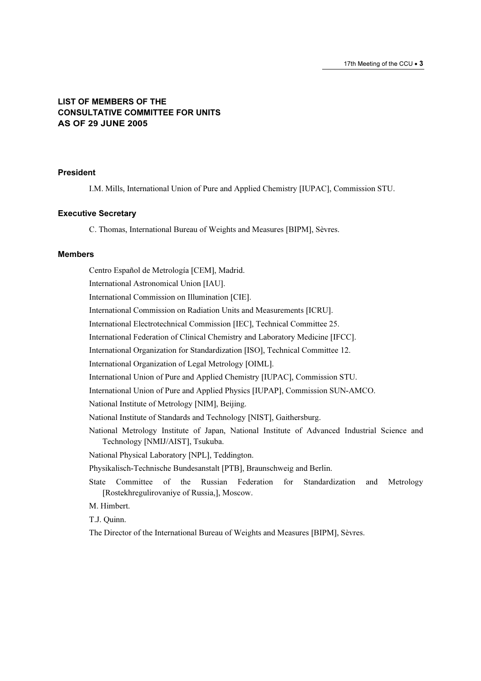## LIST OF MEMBERS OF THE CONSULTATIVE COMMITTEE FOR UNITS AS OF 29 JUNE 2005

#### President

I.M. Mills, International Union of Pure and Applied Chemistry [IUPAC], Commission STU.

#### Executive Secretary

C. Thomas, International Bureau of Weights and Measures [BIPM], Sèvres.

#### Members

Centro Español de Metrología [CEM], Madrid. International Astronomical Union [IAU]. International Commission on Illumination [CIE]. International Commission on Radiation Units and Measurements [ICRU]. International Electrotechnical Commission [IEC], Technical Committee 25. International Federation of Clinical Chemistry and Laboratory Medicine [IFCC]. International Organization for Standardization [ISO], Technical Committee 12. International Organization of Legal Metrology [OIML]. International Union of Pure and Applied Chemistry [IUPAC], Commission STU. International Union of Pure and Applied Physics [IUPAP], Commission SUN-AMCO. National Institute of Metrology [NIM], Beijing. National Institute of Standards and Technology [NIST], Gaithersburg. National Metrology Institute of Japan, National Institute of Advanced Industrial Science and Technology [NMIJ/AIST], Tsukuba. National Physical Laboratory [NPL], Teddington. Physikalisch-Technische Bundesanstalt [PTB], Braunschweig and Berlin. State Committee of the Russian Federation for Standardization and Metrology [Rostekhregulirovaniye of Russia,], Moscow. M. Himbert. T.J. Quinn.

The Director of the International Bureau of Weights and Measures [BIPM], Sèvres.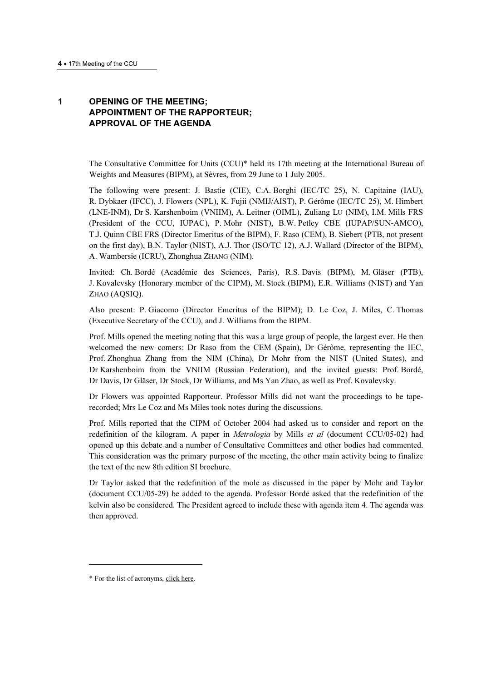# 1 OPENING OF THE MEETING; APPOINTMENT OF THE RAPPORTEUR; APPROVAL OF THE AGENDA

The Consultative Committee for Units (CCU)\* held its 17th meeting at the International Bureau of Weights and Measures (BIPM), at Sèvres, from 29 June to 1 July 2005.

The following were present: J. Bastie (CIE), C.A. Borghi (IEC/TC 25), N. Capitaine (IAU), R. Dybkaer (IFCC), J. Flowers (NPL), K. Fujii (NMIJ/AIST), P. Gérôme (IEC/TC 25), M. Himbert (LNE-INM), Dr S. Karshenboim (VNIIM), A. Leitner (OIML), Zuliang LU (NIM), I.M. Mills FRS (President of the CCU, IUPAC), P. Mohr (NIST), B.W. Petley CBE (IUPAP/SUN-AMCO), T.J. Quinn CBE FRS (Director Emeritus of the BIPM), F. Raso (CEM), B. Siebert (PTB, not present on the first day), B.N. Taylor (NIST), A.J. Thor (ISO/TC 12), A.J. Wallard (Director of the BIPM), A. Wambersie (ICRU), Zhonghua ZHANG (NIM).

Invited: Ch. Bordé (Académie des Sciences, Paris), R.S. Davis (BIPM), M. Gläser (PTB), J. Kovalevsky (Honorary member of the CIPM), M. Stock (BIPM), E.R. Williams (NIST) and Yan ZHAO (AQSIQ).

Also present: P. Giacomo (Director Emeritus of the BIPM); D. Le Coz, J. Miles, C. Thomas (Executive Secretary of the CCU), and J. Williams from the BIPM.

Prof. Mills opened the meeting noting that this was a large group of people, the largest ever. He then welcomed the new comers: Dr Raso from the CEM (Spain), Dr Gérôme, representing the IEC, Prof. Zhonghua Zhang from the NIM (China), Dr Mohr from the NIST (United States), and Dr Karshenboim from the VNIIM (Russian Federation), and the invited guests: Prof. Bordé, Dr Davis, Dr Gläser, Dr Stock, Dr Williams, and Ms Yan Zhao, as well as Prof. Kovalevsky.

Dr Flowers was appointed Rapporteur. Professor Mills did not want the proceedings to be taperecorded; Mrs Le Coz and Ms Miles took notes during the discussions.

Prof. Mills reported that the CIPM of October 2004 had asked us to consider and report on the redefinition of the kilogram. A paper in *Metrologia* by Mills *et al* (document CCU/05-02) had opened up this debate and a number of Consultative Committees and other bodies had commented. This consideration was the primary purpose of the meeting, the other main activity being to finalize the text of the new 8th edition SI brochure.

Dr Taylor asked that the redefinition of the mole as discussed in the paper by Mohr and Taylor (document CCU/05-29) be added to the agenda. Professor Bordé asked that the redefinition of the kelvin also be considered. The President agreed to include these with agenda item 4. The agenda was then approved.

-

<sup>\*</sup> For the list of acr[onyms, click here.](https://www.bipm.org/en/practical_info/acronyms.html)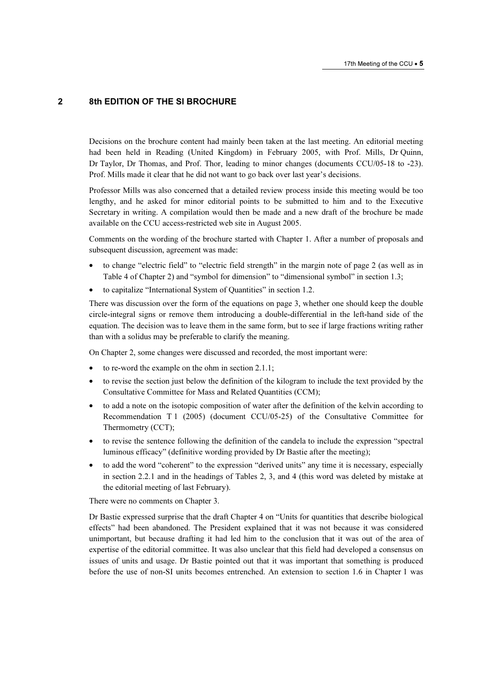# 2 8th EDITION OF THE SI BROCHURE

Decisions on the brochure content had mainly been taken at the last meeting. An editorial meeting had been held in Reading (United Kingdom) in February 2005, with Prof. Mills, Dr Quinn, Dr Taylor, Dr Thomas, and Prof. Thor, leading to minor changes (documents CCU/05-18 to -23). Prof. Mills made it clear that he did not want to go back over last year's decisions.

Professor Mills was also concerned that a detailed review process inside this meeting would be too lengthy, and he asked for minor editorial points to be submitted to him and to the Executive Secretary in writing. A compilation would then be made and a new draft of the brochure be made available on the CCU access-restricted web site in August 2005.

Comments on the wording of the brochure started with Chapter 1. After a number of proposals and subsequent discussion, agreement was made:

- to change "electric field" to "electric field strength" in the margin note of page 2 (as well as in Table 4 of Chapter 2) and "symbol for dimension" to "dimensional symbol" in section 1.3;
- to capitalize "International System of Quantities" in section 1.2.

There was discussion over the form of the equations on page 3, whether one should keep the double circle-integral signs or remove them introducing a double-differential in the left-hand side of the equation. The decision was to leave them in the same form, but to see if large fractions writing rather than with a solidus may be preferable to clarify the meaning.

On Chapter 2, some changes were discussed and recorded, the most important were:

- to re-word the example on the ohm in section 2.1.1;
- to revise the section just below the definition of the kilogram to include the text provided by the Consultative Committee for Mass and Related Quantities (CCM);
- to add a note on the isotopic composition of water after the definition of the kelvin according to Recommendation T 1 (2005) (document CCU/05-25) of the Consultative Committee for Thermometry (CCT);
- to revise the sentence following the definition of the candela to include the expression "spectral luminous efficacy" (definitive wording provided by Dr Bastie after the meeting);
- to add the word "coherent" to the expression "derived units" any time it is necessary, especially in section 2.2.1 and in the headings of Tables 2, 3, and 4 (this word was deleted by mistake at the editorial meeting of last February).

There were no comments on Chapter 3.

Dr Bastie expressed surprise that the draft Chapter 4 on "Units for quantities that describe biological effects" had been abandoned. The President explained that it was not because it was considered unimportant, but because drafting it had led him to the conclusion that it was out of the area of expertise of the editorial committee. It was also unclear that this field had developed a consensus on issues of units and usage. Dr Bastie pointed out that it was important that something is produced before the use of non-SI units becomes entrenched. An extension to section 1.6 in Chapter 1 was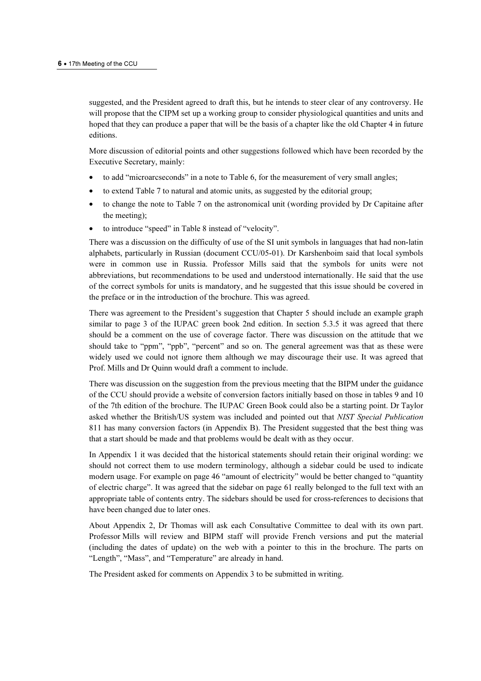suggested, and the President agreed to draft this, but he intends to steer clear of any controversy. He will propose that the CIPM set up a working group to consider physiological quantities and units and hoped that they can produce a paper that will be the basis of a chapter like the old Chapter 4 in future editions.

More discussion of editorial points and other suggestions followed which have been recorded by the Executive Secretary, mainly:

- to add "microarcseconds" in a note to Table 6, for the measurement of very small angles;
- to extend Table 7 to natural and atomic units, as suggested by the editorial group;
- to change the note to Table 7 on the astronomical unit (wording provided by Dr Capitaine after the meeting);
- to introduce "speed" in Table 8 instead of "velocity".

There was a discussion on the difficulty of use of the SI unit symbols in languages that had non-latin alphabets, particularly in Russian (document CCU/05-01). Dr Karshenboim said that local symbols were in common use in Russia. Professor Mills said that the symbols for units were not abbreviations, but recommendations to be used and understood internationally. He said that the use of the correct symbols for units is mandatory, and he suggested that this issue should be covered in the preface or in the introduction of the brochure. This was agreed.

There was agreement to the President's suggestion that Chapter 5 should include an example graph similar to page 3 of the IUPAC green book 2nd edition. In section 5.3.5 it was agreed that there should be a comment on the use of coverage factor. There was discussion on the attitude that we should take to "ppm", "ppb", "percent" and so on. The general agreement was that as these were widely used we could not ignore them although we may discourage their use. It was agreed that Prof. Mills and Dr Quinn would draft a comment to include.

There was discussion on the suggestion from the previous meeting that the BIPM under the guidance of the CCU should provide a website of conversion factors initially based on those in tables 9 and 10 of the 7th edition of the brochure. The IUPAC Green Book could also be a starting point. Dr Taylor asked whether the British/US system was included and pointed out that NIST Special Publication 811 has many conversion factors (in Appendix B). The President suggested that the best thing was that a start should be made and that problems would be dealt with as they occur.

In Appendix 1 it was decided that the historical statements should retain their original wording: we should not correct them to use modern terminology, although a sidebar could be used to indicate modern usage. For example on page 46 "amount of electricity" would be better changed to "quantity of electric charge". It was agreed that the sidebar on page 61 really belonged to the full text with an appropriate table of contents entry. The sidebars should be used for cross-references to decisions that have been changed due to later ones.

About Appendix 2, Dr Thomas will ask each Consultative Committee to deal with its own part. Professor Mills will review and BIPM staff will provide French versions and put the material (including the dates of update) on the web with a pointer to this in the brochure. The parts on "Length", "Mass", and "Temperature" are already in hand.

The President asked for comments on Appendix 3 to be submitted in writing.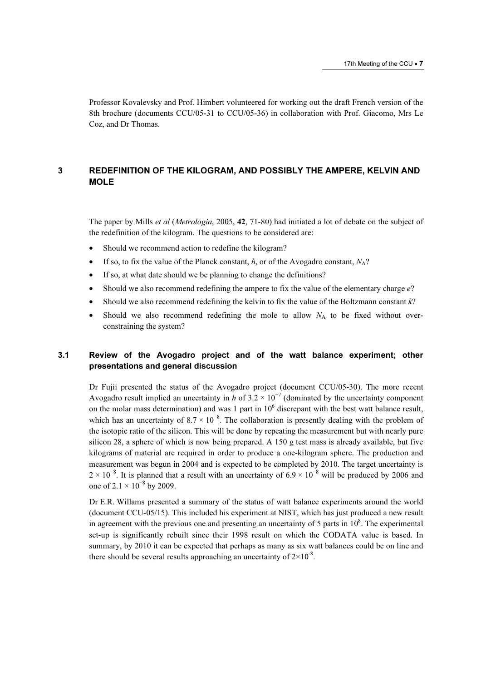Professor Kovalevsky and Prof. Himbert volunteered for working out the draft French version of the 8th brochure (documents CCU/05-31 to CCU/05-36) in collaboration with Prof. Giacomo, Mrs Le Coz, and Dr Thomas.

## 3 REDEFINITION OF THE KILOGRAM, AND POSSIBLY THE AMPERE, KELVIN AND MOLE

The paper by Mills et al (Metrologia, 2005, 42, 71-80) had initiated a lot of debate on the subject of the redefinition of the kilogram. The questions to be considered are:

- Should we recommend action to redefine the kilogram?
- If so, to fix the value of the Planck constant, h, or of the Avogadro constant,  $N_A$ ?
- If so, at what date should we be planning to change the definitions?
- Should we also recommend redefining the ampere to fix the value of the elementary charge  $e$ ?
- Should we also recommend redefining the kelvin to fix the value of the Boltzmann constant k?
- Should we also recommend redefining the mole to allow  $N_A$  to be fixed without overconstraining the system?

## 3.1 Review of the Avogadro project and of the watt balance experiment; other presentations and general discussion

Dr Fujii presented the status of the Avogadro project (document CCU/05-30). The more recent Avogadro result implied an uncertainty in h of  $3.2 \times 10^{-7}$  (dominated by the uncertainty component on the molar mass determination) and was 1 part in  $10<sup>6</sup>$  discrepant with the best watt balance result, which has an uncertainty of  $8.7 \times 10^{-8}$ . The collaboration is presently dealing with the problem of the isotopic ratio of the silicon. This will be done by repeating the measurement but with nearly pure silicon 28, a sphere of which is now being prepared. A 150 g test mass is already available, but five kilograms of material are required in order to produce a one-kilogram sphere. The production and measurement was begun in 2004 and is expected to be completed by 2010. The target uncertainty is  $2 \times 10^{-8}$ . It is planned that a result with an uncertainty of 6.9 × 10<sup>-8</sup> will be produced by 2006 and one of 2.1  $\times$  10<sup>-8</sup> by 2009.

Dr E.R. Willams presented a summary of the status of watt balance experiments around the world (document CCU-05/15). This included his experiment at NIST, which has just produced a new result in agreement with the previous one and presenting an uncertainty of 5 parts in  $10<sup>8</sup>$ . The experimental set-up is significantly rebuilt since their 1998 result on which the CODATA value is based. In summary, by 2010 it can be expected that perhaps as many as six watt balances could be on line and there should be several results approaching an uncertainty of  $2\times10^{-8}$ .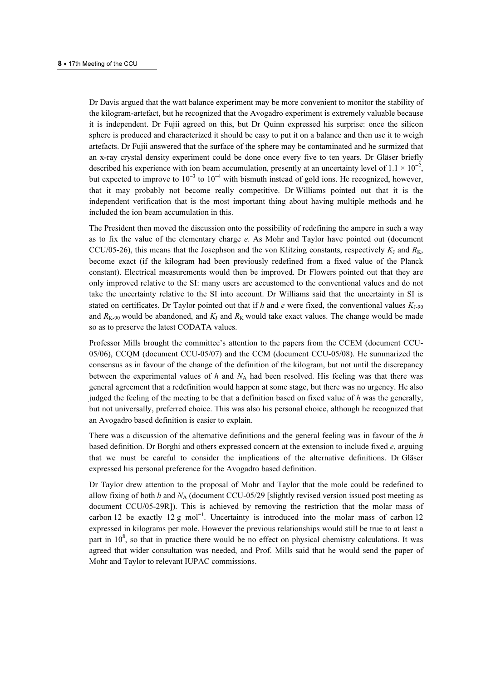Dr Davis argued that the watt balance experiment may be more convenient to monitor the stability of the kilogram-artefact, but he recognized that the Avogadro experiment is extremely valuable because it is independent. Dr Fujii agreed on this, but Dr Quinn expressed his surprise: once the silicon sphere is produced and characterized it should be easy to put it on a balance and then use it to weigh artefacts. Dr Fujii answered that the surface of the sphere may be contaminated and he surmized that an x-ray crystal density experiment could be done once every five to ten years. Dr Gläser briefly described his experience with ion beam accumulation, presently at an uncertainty level of  $1.1 \times 10^{-2}$ , but expected to improve to  $10^{-3}$  to  $10^{-4}$  with bismuth instead of gold ions. He recognized, however, that it may probably not become really competitive. Dr Williams pointed out that it is the independent verification that is the most important thing about having multiple methods and he included the ion beam accumulation in this.

The President then moved the discussion onto the possibility of redefining the ampere in such a way as to fix the value of the elementary charge e. As Mohr and Taylor have pointed out (document CCU/05-26), this means that the Josephson and the von Klitzing constants, respectively  $K_J$  and  $R_K$ , become exact (if the kilogram had been previously redefined from a fixed value of the Planck constant). Electrical measurements would then be improved. Dr Flowers pointed out that they are only improved relative to the SI: many users are accustomed to the conventional values and do not take the uncertainty relative to the SI into account. Dr Williams said that the uncertainty in SI is stated on certificates. Dr Taylor pointed out that if h and e were fixed, the conventional values  $K_{1-90}$ and  $R_{K-90}$  would be abandoned, and  $K_J$  and  $R_K$  would take exact values. The change would be made so as to preserve the latest CODATA values.

Professor Mills brought the committee's attention to the papers from the CCEM (document CCU-05/06), CCQM (document CCU-05/07) and the CCM (document CCU-05/08). He summarized the consensus as in favour of the change of the definition of the kilogram, but not until the discrepancy between the experimental values of h and  $N_A$  had been resolved. His feeling was that there was general agreement that a redefinition would happen at some stage, but there was no urgency. He also judged the feeling of the meeting to be that a definition based on fixed value of  $h$  was the generally, but not universally, preferred choice. This was also his personal choice, although he recognized that an Avogadro based definition is easier to explain.

There was a discussion of the alternative definitions and the general feeling was in favour of the h based definition. Dr Borghi and others expressed concern at the extension to include fixed  $e$ , arguing that we must be careful to consider the implications of the alternative definitions. Dr Gläser expressed his personal preference for the Avogadro based definition.

Dr Taylor drew attention to the proposal of Mohr and Taylor that the mole could be redefined to allow fixing of both h and  $N_A$  (document CCU-05/29 [slightly revised version issued post meeting as document CCU/05-29R]). This is achieved by removing the restriction that the molar mass of carbon 12 be exactly  $12 g$  mol<sup>-1</sup>. Uncertainty is introduced into the molar mass of carbon 12 expressed in kilograms per mole. However the previous relationships would still be true to at least a part in 10<sup>8</sup>, so that in practice there would be no effect on physical chemistry calculations. It was agreed that wider consultation was needed, and Prof. Mills said that he would send the paper of Mohr and Taylor to relevant IUPAC commissions.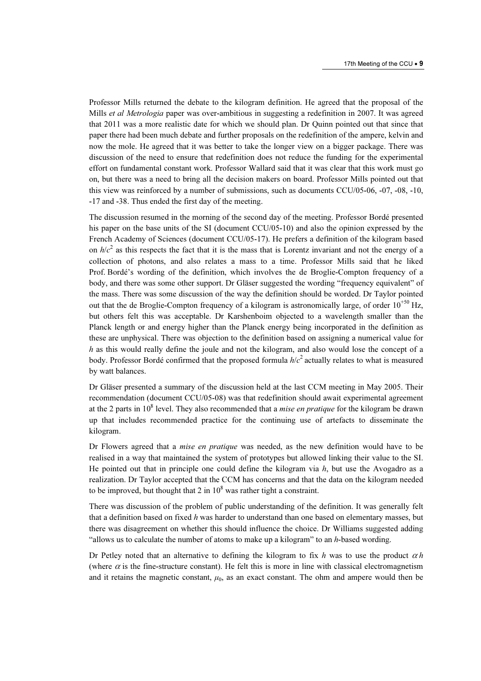Professor Mills returned the debate to the kilogram definition. He agreed that the proposal of the Mills *et al Metrologia* paper was over-ambitious in suggesting a redefinition in 2007. It was agreed that 2011 was a more realistic date for which we should plan. Dr Quinn pointed out that since that paper there had been much debate and further proposals on the redefinition of the ampere, kelvin and now the mole. He agreed that it was better to take the longer view on a bigger package. There was discussion of the need to ensure that redefinition does not reduce the funding for the experimental effort on fundamental constant work. Professor Wallard said that it was clear that this work must go on, but there was a need to bring all the decision makers on board. Professor Mills pointed out that this view was reinforced by a number of submissions, such as documents CCU/05-06, -07, -08, -10, -17 and -38. Thus ended the first day of the meeting.

The discussion resumed in the morning of the second day of the meeting. Professor Bordé presented his paper on the base units of the SI (document CCU/05-10) and also the opinion expressed by the French Academy of Sciences (document CCU/05-17). He prefers a definition of the kilogram based on  $h/c<sup>2</sup>$  as this respects the fact that it is the mass that is Lorentz invariant and not the energy of a collection of photons, and also relates a mass to a time. Professor Mills said that he liked Prof. Bordé's wording of the definition, which involves the de Broglie-Compton frequency of a body, and there was some other support. Dr Gläser suggested the wording "frequency equivalent" of the mass. There was some discussion of the way the definition should be worded. Dr Taylor pointed out that the de Broglie-Compton frequency of a kilogram is astronomically large, of order  $10^{+50}$  Hz, but others felt this was acceptable. Dr Karshenboim objected to a wavelength smaller than the Planck length or and energy higher than the Planck energy being incorporated in the definition as these are unphysical. There was objection to the definition based on assigning a numerical value for h as this would really define the joule and not the kilogram, and also would lose the concept of a body. Professor Bordé confirmed that the proposed formula  $h/c^2$  actually relates to what is measured by watt balances.

Dr Gläser presented a summary of the discussion held at the last CCM meeting in May 2005. Their recommendation (document CCU/05-08) was that redefinition should await experimental agreement at the 2 parts in  $10^8$  level. They also recommended that a *mise en pratique* for the kilogram be drawn up that includes recommended practice for the continuing use of artefacts to disseminate the kilogram.

Dr Flowers agreed that a mise en pratique was needed, as the new definition would have to be realised in a way that maintained the system of prototypes but allowed linking their value to the SI. He pointed out that in principle one could define the kilogram via  $h$ , but use the Avogadro as a realization. Dr Taylor accepted that the CCM has concerns and that the data on the kilogram needed to be improved, but thought that 2 in  $10^8$  was rather tight a constraint.

There was discussion of the problem of public understanding of the definition. It was generally felt that a definition based on fixed h was harder to understand than one based on elementary masses, but there was disagreement on whether this should influence the choice. Dr Williams suggested adding "allows us to calculate the number of atoms to make up a kilogram" to an h-based wording.

Dr Petley noted that an alternative to defining the kilogram to fix h was to use the product  $\alpha h$ (where  $\alpha$  is the fine-structure constant). He felt this is more in line with classical electromagnetism and it retains the magnetic constant,  $\mu_0$ , as an exact constant. The ohm and ampere would then be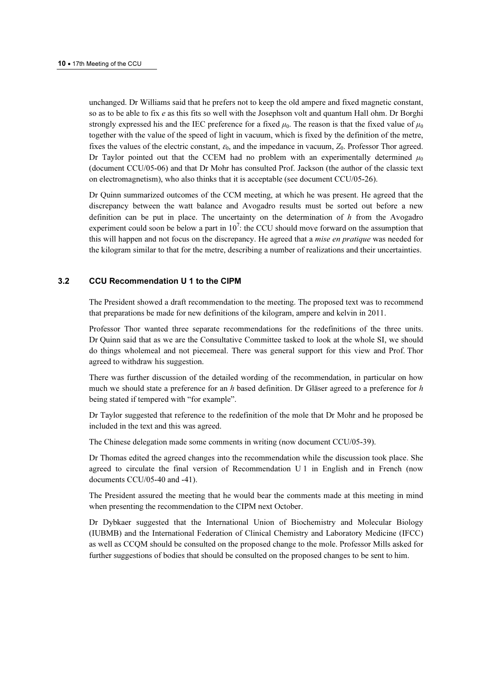unchanged. Dr Williams said that he prefers not to keep the old ampere and fixed magnetic constant, so as to be able to fix e as this fits so well with the Josephson volt and quantum Hall ohm. Dr Borghi strongly expressed his and the IEC preference for a fixed  $\mu_0$ . The reason is that the fixed value of  $\mu_0$ together with the value of the speed of light in vacuum, which is fixed by the definition of the metre, fixes the values of the electric constant,  $\varepsilon_0$ , and the impedance in vacuum,  $Z_0$ . Professor Thor agreed. Dr Taylor pointed out that the CCEM had no problem with an experimentally determined  $\mu_0$ (document CCU/05-06) and that Dr Mohr has consulted Prof. Jackson (the author of the classic text on electromagnetism), who also thinks that it is acceptable (see document CCU/05-26).

Dr Quinn summarized outcomes of the CCM meeting, at which he was present. He agreed that the discrepancy between the watt balance and Avogadro results must be sorted out before a new definition can be put in place. The uncertainty on the determination of  $h$  from the Avogadro experiment could soon be below a part in  $10^7$ : the CCU should move forward on the assumption that this will happen and not focus on the discrepancy. He agreed that a mise en pratique was needed for the kilogram similar to that for the metre, describing a number of realizations and their uncertainties.

## 3.2 CCU Recommendation U 1 to the CIPM

The President showed a draft recommendation to the meeting. The proposed text was to recommend that preparations be made for new definitions of the kilogram, ampere and kelvin in 2011.

Professor Thor wanted three separate recommendations for the redefinitions of the three units. Dr Quinn said that as we are the Consultative Committee tasked to look at the whole SI, we should do things wholemeal and not piecemeal. There was general support for this view and Prof. Thor agreed to withdraw his suggestion.

There was further discussion of the detailed wording of the recommendation, in particular on how much we should state a preference for an  $h$  based definition. Dr Gläser agreed to a preference for  $h$ being stated if tempered with "for example".

Dr Taylor suggested that reference to the redefinition of the mole that Dr Mohr and he proposed be included in the text and this was agreed.

The Chinese delegation made some comments in writing (now document CCU/05-39).

Dr Thomas edited the agreed changes into the recommendation while the discussion took place. She agreed to circulate the final version of Recommendation U 1 in English and in French (now documents CCU/05-40 and -41).

The President assured the meeting that he would bear the comments made at this meeting in mind when presenting the recommendation to the CIPM next October.

Dr Dybkaer suggested that the International Union of Biochemistry and Molecular Biology (IUBMB) and the International Federation of Clinical Chemistry and Laboratory Medicine (IFCC) as well as CCQM should be consulted on the proposed change to the mole. Professor Mills asked for further suggestions of bodies that should be consulted on the proposed changes to be sent to him.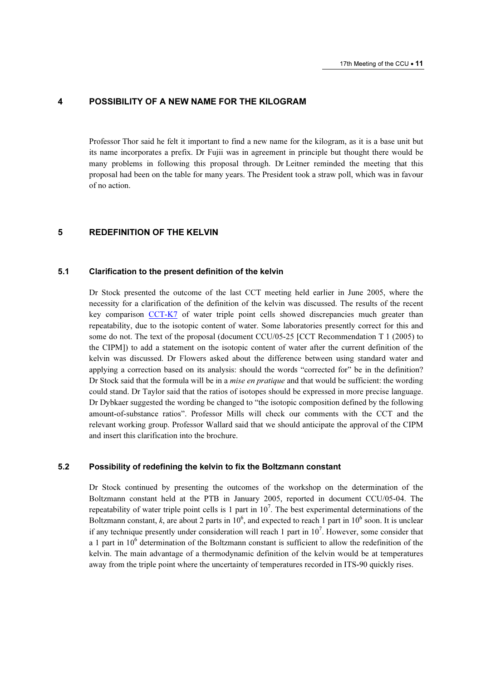## 4 POSSIBILITY OF A NEW NAME FOR THE KILOGRAM

Professor Thor said he felt it important to find a new name for the kilogram, as it is a base unit but its name incorporates a prefix. Dr Fujii was in agreement in principle but thought there would be many problems in following this proposal through. Dr Leitner reminded the meeting that this proposal had been on the table for many years. The President took a straw poll, which was in favour of no action.

#### 5 REDEFINITION OF THE KELVIN

### 5.1 Clarification to the present definition of the kelvin

Dr Stock presented the outcome of the last CCT meeting held earlier in June 2005, where the necessity for a clarification of the definition of the kelvin was discussed. The results of the recent key compar[ison CCT-K7 of wate](http://kcdb.bipm.org/AppendixB/KCDB_ApB_search_result.asp?search=2&cmp_cod_search=CCT-K7&match_exact=0)r triple point cells showed discrepancies much greater than repeatability, due to the isotopic content of water. Some laboratories presently correct for this and some do not. The text of the proposal (document CCU/05-25 [CCT Recommendation T 1 (2005) to the CIPM]) to add a statement on the isotopic content of water after the current definition of the kelvin was discussed. Dr Flowers asked about the difference between using standard water and applying a correction based on its analysis: should the words "corrected for" be in the definition? Dr Stock said that the formula will be in a *mise en pratique* and that would be sufficient: the wording could stand. Dr Taylor said that the ratios of isotopes should be expressed in more precise language. Dr Dybkaer suggested the wording be changed to "the isotopic composition defined by the following amount-of-substance ratios". Professor Mills will check our comments with the CCT and the relevant working group. Professor Wallard said that we should anticipate the approval of the CIPM and insert this clarification into the brochure.

## 5.2 Possibility of redefining the kelvin to fix the Boltzmann constant

Dr Stock continued by presenting the outcomes of the workshop on the determination of the Boltzmann constant held at the PTB in January 2005, reported in document CCU/05-04. The repeatability of water triple point cells is 1 part in  $10^7$ . The best experimental determinations of the Boltzmann constant, k, are about 2 parts in  $10^6$ , and expected to reach 1 part in  $10^6$  soon. It is unclear if any technique presently under consideration will reach 1 part in 10<sup>7</sup>. However, some consider that a 1 part in  $10^6$  determination of the Boltzmann constant is sufficient to allow the redefinition of the kelvin. The main advantage of a thermodynamic definition of the kelvin would be at temperatures away from the triple point where the uncertainty of temperatures recorded in ITS-90 quickly rises.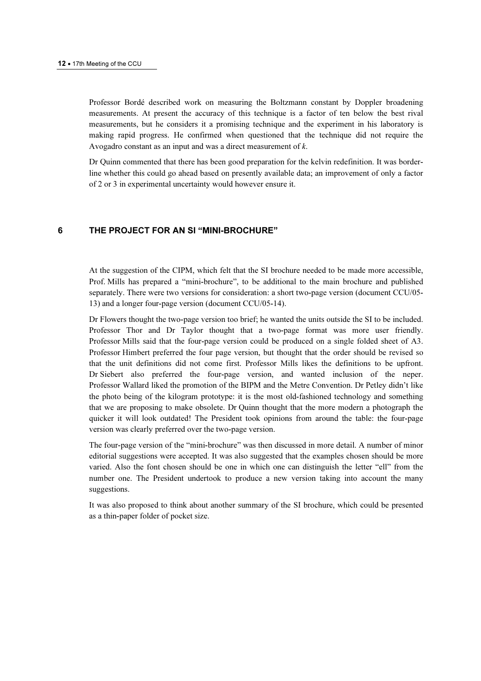Professor Bordé described work on measuring the Boltzmann constant by Doppler broadening measurements. At present the accuracy of this technique is a factor of ten below the best rival measurements, but he considers it a promising technique and the experiment in his laboratory is making rapid progress. He confirmed when questioned that the technique did not require the Avogadro constant as an input and was a direct measurement of k.

Dr Quinn commented that there has been good preparation for the kelvin redefinition. It was borderline whether this could go ahead based on presently available data; an improvement of only a factor of 2 or 3 in experimental uncertainty would however ensure it.

## 6 THE PROJECT FOR AN SI "MINI-BROCHURE"

At the suggestion of the CIPM, which felt that the SI brochure needed to be made more accessible, Prof. Mills has prepared a "mini-brochure", to be additional to the main brochure and published separately. There were two versions for consideration: a short two-page version (document CCU/05- 13) and a longer four-page version (document CCU/05-14).

Dr Flowers thought the two-page version too brief; he wanted the units outside the SI to be included. Professor Thor and Dr Taylor thought that a two-page format was more user friendly. Professor Mills said that the four-page version could be produced on a single folded sheet of A3. Professor Himbert preferred the four page version, but thought that the order should be revised so that the unit definitions did not come first. Professor Mills likes the definitions to be upfront. Dr Siebert also preferred the four-page version, and wanted inclusion of the neper. Professor Wallard liked the promotion of the BIPM and the Metre Convention. Dr Petley didn't like the photo being of the kilogram prototype: it is the most old-fashioned technology and something that we are proposing to make obsolete. Dr Quinn thought that the more modern a photograph the quicker it will look outdated! The President took opinions from around the table: the four-page version was clearly preferred over the two-page version.

The four-page version of the "mini-brochure" was then discussed in more detail. A number of minor editorial suggestions were accepted. It was also suggested that the examples chosen should be more varied. Also the font chosen should be one in which one can distinguish the letter "ell" from the number one. The President undertook to produce a new version taking into account the many suggestions.

It was also proposed to think about another summary of the SI brochure, which could be presented as a thin-paper folder of pocket size.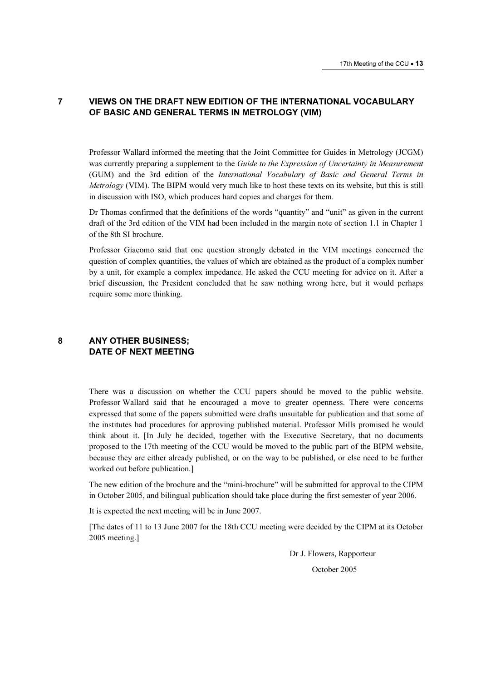# 7 VIEWS ON THE DRAFT NEW EDITION OF THE INTERNATIONAL VOCABULARY OF BASIC AND GENERAL TERMS IN METROLOGY (VIM)

Professor Wallard informed the meeting that the Joint Committee for Guides in Metrology (JCGM) was currently preparing a supplement to the Guide to the Expression of Uncertainty in Measurement (GUM) and the 3rd edition of the International Vocabulary of Basic and General Terms in Metrology (VIM). The BIPM would very much like to host these texts on its website, but this is still in discussion with ISO, which produces hard copies and charges for them.

Dr Thomas confirmed that the definitions of the words "quantity" and "unit" as given in the current draft of the 3rd edition of the VIM had been included in the margin note of section 1.1 in Chapter 1 of the 8th SI brochure.

Professor Giacomo said that one question strongly debated in the VIM meetings concerned the question of complex quantities, the values of which are obtained as the product of a complex number by a unit, for example a complex impedance. He asked the CCU meeting for advice on it. After a brief discussion, the President concluded that he saw nothing wrong here, but it would perhaps require some more thinking.

## 8 ANY OTHER BUSINESS; DATE OF NEXT MEETING

There was a discussion on whether the CCU papers should be moved to the public website. Professor Wallard said that he encouraged a move to greater openness. There were concerns expressed that some of the papers submitted were drafts unsuitable for publication and that some of the institutes had procedures for approving published material. Professor Mills promised he would think about it. [In July he decided, together with the Executive Secretary, that no documents proposed to the 17th meeting of the CCU would be moved to the public part of the BIPM website, because they are either already published, or on the way to be published, or else need to be further worked out before publication.]

The new edition of the brochure and the "mini-brochure" will be submitted for approval to the CIPM in October 2005, and bilingual publication should take place during the first semester of year 2006.

It is expected the next meeting will be in June 2007.

[The dates of 11 to 13 June 2007 for the 18th CCU meeting were decided by the CIPM at its October 2005 meeting.]

> Dr J. Flowers, Rapporteur October 2005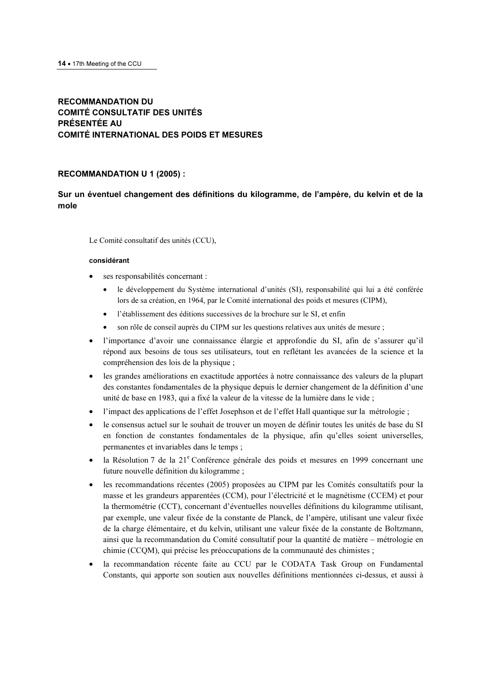# RECOMMANDATION DU COMITÉ CONSULTATIF DES UNITÉS PRÉSENTÉE AU COMITÉ INTERNATIONAL DES POIDS ET MESURES

#### RECOMMANDATION U 1 (2005) :

# Sur un éventuel changement des définitions du kilogramme, de l'ampère, du kelvin et de la mole

Le Comité consultatif des unités (CCU),

#### considérant

- ses responsabilités concernant :
	- le développement du Système international d'unités (SI), responsabilité qui lui a été conférée lors de sa création, en 1964, par le Comité international des poids et mesures (CIPM),
	- l'établissement des éditions successives de la brochure sur le SI, et enfin
	- son rôle de conseil auprès du CIPM sur les questions relatives aux unités de mesure ;
- l'importance d'avoir une connaissance élargie et approfondie du SI, afin de s'assurer qu'il répond aux besoins de tous ses utilisateurs, tout en reflétant les avancées de la science et la compréhension des lois de la physique ;
- les grandes améliorations en exactitude apportées à notre connaissance des valeurs de la plupart des constantes fondamentales de la physique depuis le dernier changement de la définition d'une unité de base en 1983, qui a fixé la valeur de la vitesse de la lumière dans le vide ;
- l'impact des applications de l'effet Josephson et de l'effet Hall quantique sur la métrologie ;
- le consensus actuel sur le souhait de trouver un moyen de définir toutes les unités de base du SI en fonction de constantes fondamentales de la physique, afin qu'elles soient universelles, permanentes et invariables dans le temps ;
- · la Résolution 7 de la 21<sup>e</sup> Conférence générale des poids et mesures en 1999 concernant une future nouvelle définition du kilogramme ;
- les recommandations récentes (2005) proposées au CIPM par les Comités consultatifs pour la masse et les grandeurs apparentées (CCM), pour l'électricité et le magnétisme (CCEM) et pour la thermométrie (CCT), concernant d'éventuelles nouvelles définitions du kilogramme utilisant, par exemple, une valeur fixée de la constante de Planck, de l'ampère, utilisant une valeur fixée de la charge élémentaire, et du kelvin, utilisant une valeur fixée de la constante de Boltzmann, ainsi que la recommandation du Comité consultatif pour la quantité de matière – métrologie en chimie (CCQM), qui précise les préoccupations de la communauté des chimistes ;
- la recommandation récente faite au CCU par le CODATA Task Group on Fundamental Constants, qui apporte son soutien aux nouvelles définitions mentionnées ci-dessus, et aussi à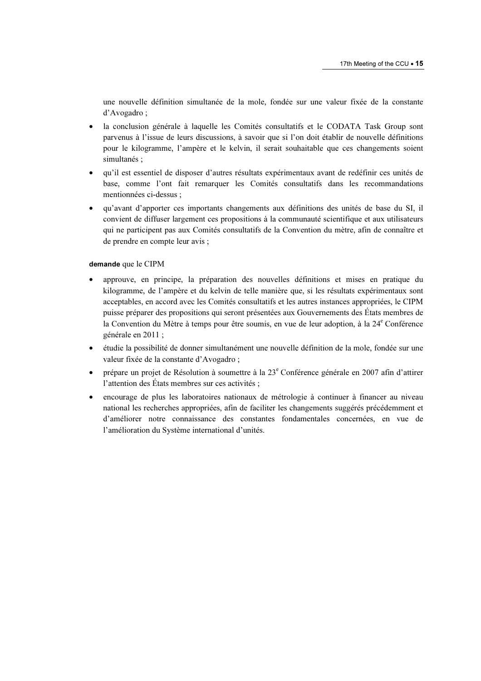une nouvelle définition simultanée de la mole, fondée sur une valeur fixée de la constante d'Avogadro ;

- la conclusion générale à laquelle les Comités consultatifs et le CODATA Task Group sont parvenus à l'issue de leurs discussions, à savoir que si l'on doit établir de nouvelle définitions pour le kilogramme, l'ampère et le kelvin, il serait souhaitable que ces changements soient simultanés ;
- qu'il est essentiel de disposer d'autres résultats expérimentaux avant de redéfinir ces unités de base, comme l'ont fait remarquer les Comités consultatifs dans les recommandations mentionnées ci-dessus ;
- qu'avant d'apporter ces importants changements aux définitions des unités de base du SI, il convient de diffuser largement ces propositions à la communauté scientifique et aux utilisateurs qui ne participent pas aux Comités consultatifs de la Convention du mètre, afin de connaître et de prendre en compte leur avis ;

#### demande que le CIPM

- approuve, en principe, la préparation des nouvelles définitions et mises en pratique du kilogramme, de l'ampère et du kelvin de telle manière que, si les résultats expérimentaux sont acceptables, en accord avec les Comités consultatifs et les autres instances appropriées, le CIPM puisse préparer des propositions qui seront présentées aux Gouvernements des États membres de la Convention du Mètre à temps pour être soumis, en vue de leur adoption, à la 24<sup>e</sup> Conférence générale en 2011 ;
- étudie la possibilité de donner simultanément une nouvelle définition de la mole, fondée sur une valeur fixée de la constante d'Avogadro ;
- prépare un projet de Résolution à soumettre à la 23<sup>e</sup> Conférence générale en 2007 afin d'attirer l'attention des États membres sur ces activités ;
- encourage de plus les laboratoires nationaux de métrologie à continuer à financer au niveau national les recherches appropriées, afin de faciliter les changements suggérés précédemment et d'améliorer notre connaissance des constantes fondamentales concernées, en vue de l'amélioration du Système international d'unités.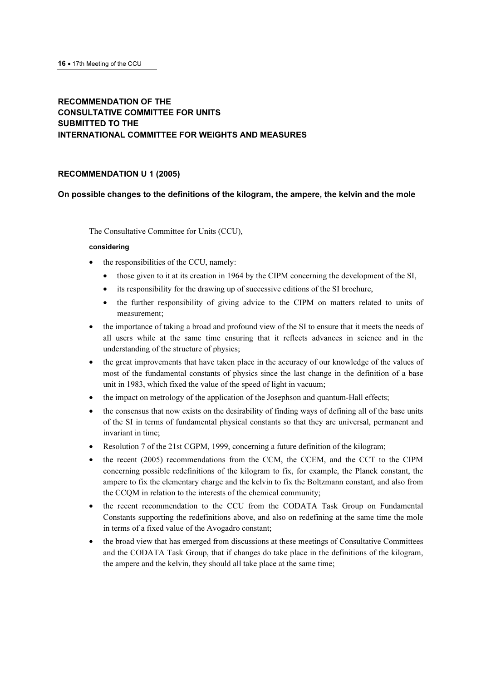# RECOMMENDATION OF THE CONSULTATIVE COMMITTEE FOR UNITS SUBMITTED TO THE INTERNATIONAL COMMITTEE FOR WEIGHTS AND MEASURES

## RECOMMENDATION U 1 (2005)

## On possible changes to the definitions of the kilogram, the ampere, the kelvin and the mole

The Consultative Committee for Units (CCU),

#### considering

- the responsibilities of the CCU, namely:
	- those given to it at its creation in 1964 by the CIPM concerning the development of the SI,
	- its responsibility for the drawing up of successive editions of the SI brochure,
	- the further responsibility of giving advice to the CIPM on matters related to units of measurement;
- the importance of taking a broad and profound view of the SI to ensure that it meets the needs of all users while at the same time ensuring that it reflects advances in science and in the understanding of the structure of physics;
- the great improvements that have taken place in the accuracy of our knowledge of the values of most of the fundamental constants of physics since the last change in the definition of a base unit in 1983, which fixed the value of the speed of light in vacuum;
- the impact on metrology of the application of the Josephson and quantum-Hall effects;
- the consensus that now exists on the desirability of finding ways of defining all of the base units of the SI in terms of fundamental physical constants so that they are universal, permanent and invariant in time;
- Resolution 7 of the 21st CGPM, 1999, concerning a future definition of the kilogram;
- the recent (2005) recommendations from the CCM, the CCEM, and the CCT to the CIPM concerning possible redefinitions of the kilogram to fix, for example, the Planck constant, the ampere to fix the elementary charge and the kelvin to fix the Boltzmann constant, and also from the CCQM in relation to the interests of the chemical community;
- the recent recommendation to the CCU from the CODATA Task Group on Fundamental Constants supporting the redefinitions above, and also on redefining at the same time the mole in terms of a fixed value of the Avogadro constant;
- the broad view that has emerged from discussions at these meetings of Consultative Committees and the CODATA Task Group, that if changes do take place in the definitions of the kilogram, the ampere and the kelvin, they should all take place at the same time;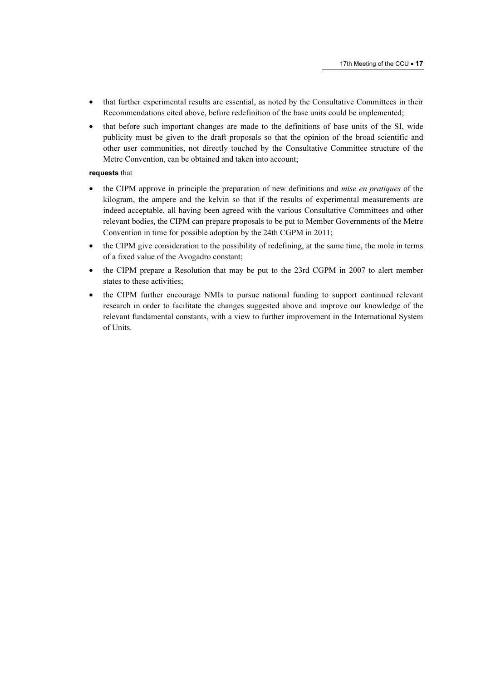- that further experimental results are essential, as noted by the Consultative Committees in their Recommendations cited above, before redefinition of the base units could be implemented;
- that before such important changes are made to the definitions of base units of the SI, wide publicity must be given to the draft proposals so that the opinion of the broad scientific and other user communities, not directly touched by the Consultative Committee structure of the Metre Convention, can be obtained and taken into account;

#### requests that

- the CIPM approve in principle the preparation of new definitions and *mise en pratiques* of the kilogram, the ampere and the kelvin so that if the results of experimental measurements are indeed acceptable, all having been agreed with the various Consultative Committees and other relevant bodies, the CIPM can prepare proposals to be put to Member Governments of the Metre Convention in time for possible adoption by the 24th CGPM in 2011;
- the CIPM give consideration to the possibility of redefining, at the same time, the mole in terms of a fixed value of the Avogadro constant;
- the CIPM prepare a Resolution that may be put to the 23rd CGPM in 2007 to alert member states to these activities;
- the CIPM further encourage NMIs to pursue national funding to support continued relevant research in order to facilitate the changes suggested above and improve our knowledge of the relevant fundamental constants, with a view to further improvement in the International System of Units.